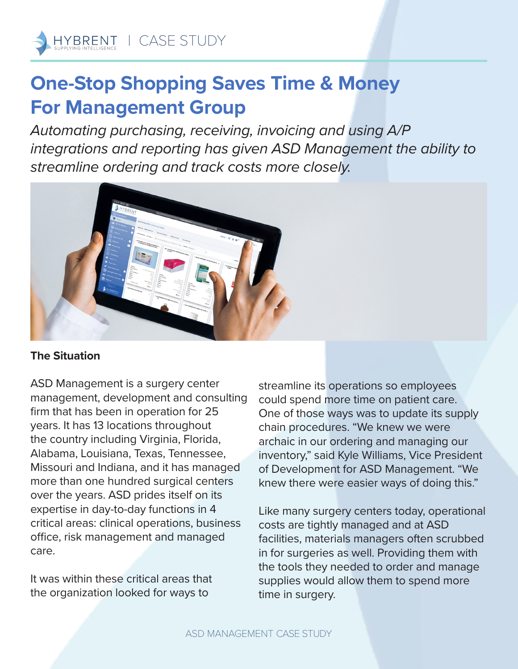## **One-Stop Shopping Saves Time & Money For Management Group**

*Automating purchasing, receiving, invoicing and using A/P integrations and reporting has given ASD Management the ability to streamline ordering and track costs more closely.*



## **The Situation**

ASD Management is a surgery center management, development and consulting firm that has been in operation for 25 years. It has 13 locations throughout the country including Virginia, Florida, Alabama, Louisiana, Texas, Tennessee, Missouri and Indiana, and it has managed more than one hundred surgical centers over the years. ASD prides itself on its expertise in day-to-day functions in 4 critical areas: clinical operations, business office, risk management and managed care.

It was within these critical areas that the organization looked for ways to

streamline its operations so employees could spend more time on patient care. One of those ways was to update its supply chain procedures. "We knew we were archaic in our ordering and managing our inventory," said Kyle Williams, Vice President of Development for ASD Management. "We knew there were easier ways of doing this."

Like many surgery centers today, operational costs are tightly managed and at ASD facilities, materials managers often scrubbed in for surgeries as well. Providing them with the tools they needed to order and manage supplies would allow them to spend more time in surgery.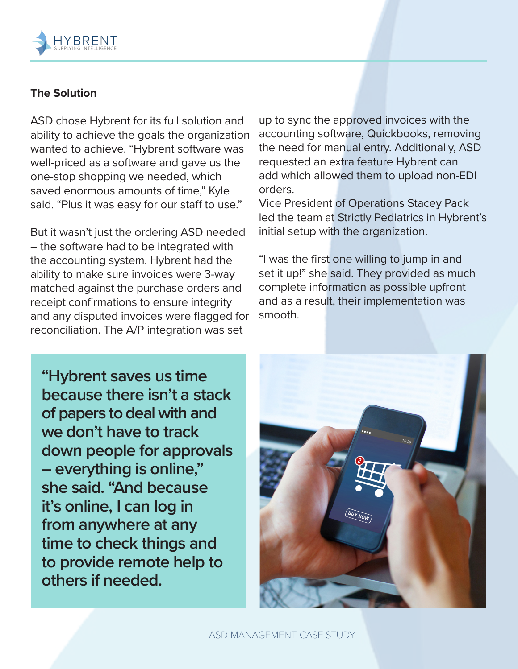

## **The Solution**

ASD chose Hybrent for its full solution and ability to achieve the goals the organization wanted to achieve. "Hybrent software was well-priced as a software and gave us the one-stop shopping we needed, which saved enormous amounts of time," Kyle said. "Plus it was easy for our staff to use."

But it wasn't just the ordering ASD needed – the software had to be integrated with the accounting system. Hybrent had the ability to make sure invoices were 3-way matched against the purchase orders and receipt confirmations to ensure integrity and any disputed invoices were flagged for reconciliation. The A/P integration was set

up to sync the approved invoices with the accounting software, Quickbooks, removing the need for manual entry. Additionally, ASD requested an extra feature Hybrent can add which allowed them to upload non-EDI orders.

Vice President of Operations Stacey Pack led the team at Strictly Pediatrics in Hybrent's initial setup with the organization.

"I was the first one willing to jump in and set it up!" she said. They provided as much complete information as possible upfront and as a result, their implementation was smooth.

**"Hybrent saves us time because there isn't a stack of papers to deal with and we don't have to track down people for approvals – everything is online," she said. "And because it's online, I can log in from anywhere at any time to check things and to provide remote help to others if needed.**